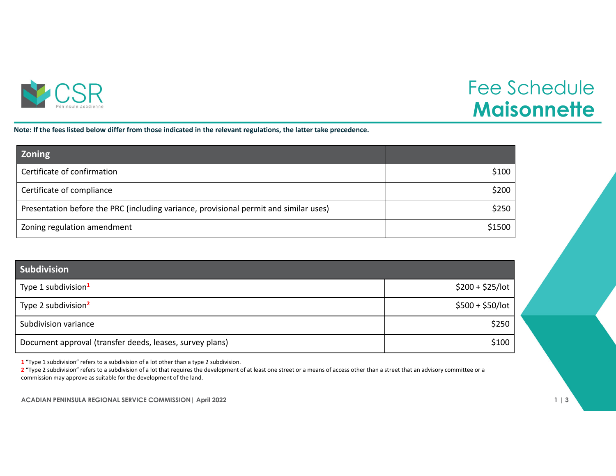

## Fee Schedule **Maisonnette**

Note: If the fees listed below differ from those indicated in the relevant regulations, the latter take precedence.

| <b>Zoning</b>                                                                         |        |
|---------------------------------------------------------------------------------------|--------|
| Certificate of confirmation                                                           | \$100  |
| Certificate of compliance                                                             | \$200  |
| Presentation before the PRC (including variance, provisional permit and similar uses) | \$250  |
| Zoning regulation amendment                                                           | \$1500 |

| <b>Subdivision</b>                                       |                   |
|----------------------------------------------------------|-------------------|
| Type 1 subdivision <sup>1</sup>                          | $$200 + $25/$ lot |
| Type 2 subdivision <sup>2</sup>                          | $$500 + $50/$ lot |
| Subdivision variance                                     | \$250             |
| Document approval (transfer deeds, leases, survey plans) | \$100             |

**1** "Type 1 subdivision" refers to <sup>a</sup> subdivision of <sup>a</sup> lot other than <sup>a</sup> type 2 subdivision.

**2** "Type 2 subdivision" refers to <sup>a</sup> subdivision of <sup>a</sup> lot that requires the development of at least one street or <sup>a</sup> means of access other than <sup>a</sup> street that an advisory committee or <sup>a</sup> commission may approve as suitable for the development of the land.

**ACADIAN PENINSULA REGIONAL SERVICE COMMISSION| April 2022 1 | 3**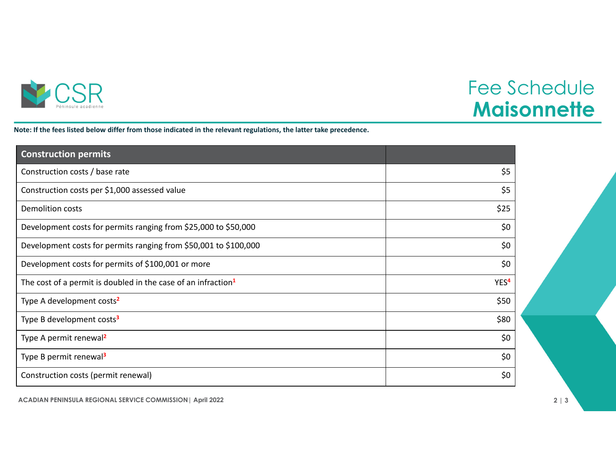

## Fee Schedule **Maisonnette**

Note: If the fees listed below differ from those indicated in the relevant regulations, the latter take precedence.

| <b>Construction permits</b>                                               |                  |
|---------------------------------------------------------------------------|------------------|
| Construction costs / base rate                                            | \$5              |
| Construction costs per \$1,000 assessed value                             | \$5              |
| <b>Demolition costs</b>                                                   | \$25             |
| Development costs for permits ranging from \$25,000 to \$50,000           | \$0              |
| Development costs for permits ranging from \$50,001 to \$100,000          | \$0              |
| Development costs for permits of \$100,001 or more                        | \$0              |
| The cost of a permit is doubled in the case of an infraction <sup>1</sup> | YES <sup>4</sup> |
| Type A development costs <sup>2</sup>                                     | \$50             |
| Type B development costs <sup>3</sup>                                     | \$80             |
| Type A permit renewal <sup>2</sup>                                        | \$0              |
| Type B permit renewal <sup>3</sup>                                        | \$0              |
| Construction costs (permit renewal)                                       | \$0              |

**ACADIAN PENINSULA REGIONAL SERVICE COMMISSION| April 2022 2 | 3**